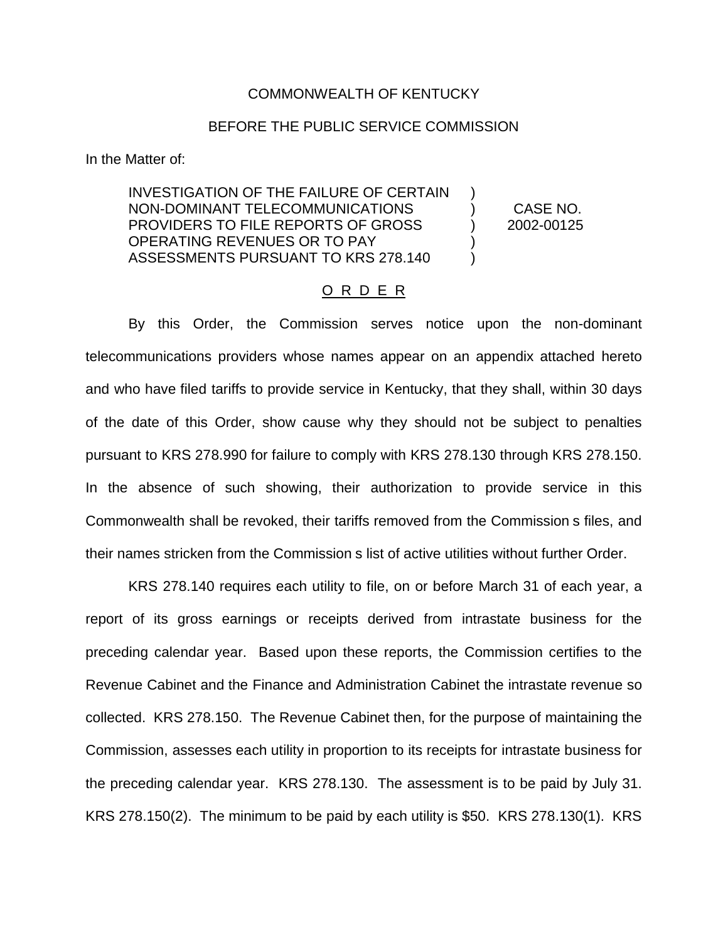## COMMONWEALTH OF KENTUCKY

## BEFORE THE PUBLIC SERVICE COMMISSION

In the Matter of:

INVESTIGATION OF THE FAILURE OF CERTAIN NON-DOMINANT TELECOMMUNICATIONS ) CASE NO. PROVIDERS TO FILE REPORTS OF GROSS  $\vert$  2002-00125 OPERATING REVENUES OR TO PAY ) ASSESSMENTS PURSUANT TO KRS 278.140 (1995)

## O R D E R

By this Order, the Commission serves notice upon the non-dominant telecommunications providers whose names appear on an appendix attached hereto and who have filed tariffs to provide service in Kentucky, that they shall, within 30 days of the date of this Order, show cause why they should not be subject to penalties pursuant to KRS 278.990 for failure to comply with KRS 278.130 through KRS 278.150. In the absence of such showing, their authorization to provide service in this Commonwealth shall be revoked, their tariffs removed from the Commission s files, and their names stricken from the Commission s list of active utilities without further Order.

KRS 278.140 requires each utility to file, on or before March 31 of each year, a report of its gross earnings or receipts derived from intrastate business for the preceding calendar year. Based upon these reports, the Commission certifies to the Revenue Cabinet and the Finance and Administration Cabinet the intrastate revenue so collected. KRS 278.150. The Revenue Cabinet then, for the purpose of maintaining the Commission, assesses each utility in proportion to its receipts for intrastate business for the preceding calendar year. KRS 278.130. The assessment is to be paid by July 31. KRS 278.150(2). The minimum to be paid by each utility is \$50. KRS 278.130(1). KRS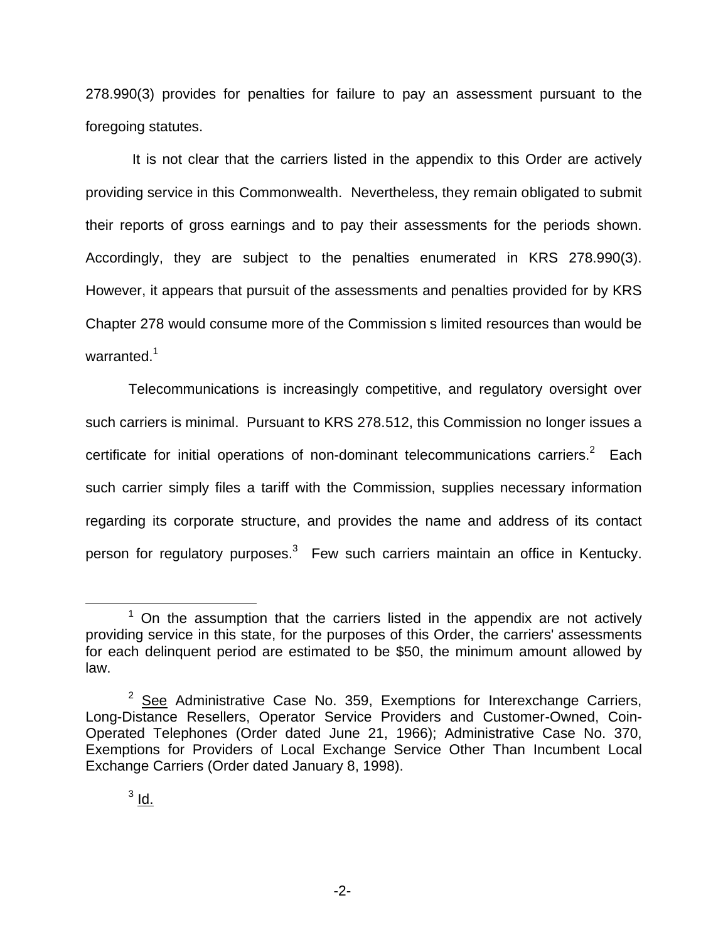278.990(3) provides for penalties for failure to pay an assessment pursuant to the foregoing statutes.

It is not clear that the carriers listed in the appendix to this Order are actively providing service in this Commonwealth. Nevertheless, they remain obligated to submit their reports of gross earnings and to pay their assessments for the periods shown. Accordingly, they are subject to the penalties enumerated in KRS 278.990(3). However, it appears that pursuit of the assessments and penalties provided for by KRS Chapter 278 would consume more of the Commission s limited resources than would be warranted.<sup>1</sup>

Telecommunications is increasingly competitive, and regulatory oversight over such carriers is minimal. Pursuant to KRS 278.512, this Commission no longer issues a certificate for initial operations of non-dominant telecommunications carriers.<sup>2</sup> Each such carrier simply files a tariff with the Commission, supplies necessary information regarding its corporate structure, and provides the name and address of its contact person for regulatory purposes. $3$  Few such carriers maintain an office in Kentucky.

 $1$  On the assumption that the carriers listed in the appendix are not actively providing service in this state, for the purposes of this Order, the carriers' assessments for each delinquent period are estimated to be \$50, the minimum amount allowed by law.

 $2$  See Administrative Case No. 359, Exemptions for Interexchange Carriers, Long-Distance Resellers, Operator Service Providers and Customer-Owned, Coin-Operated Telephones (Order dated June 21, 1966); Administrative Case No. 370, Exemptions for Providers of Local Exchange Service Other Than Incumbent Local Exchange Carriers (Order dated January 8, 1998).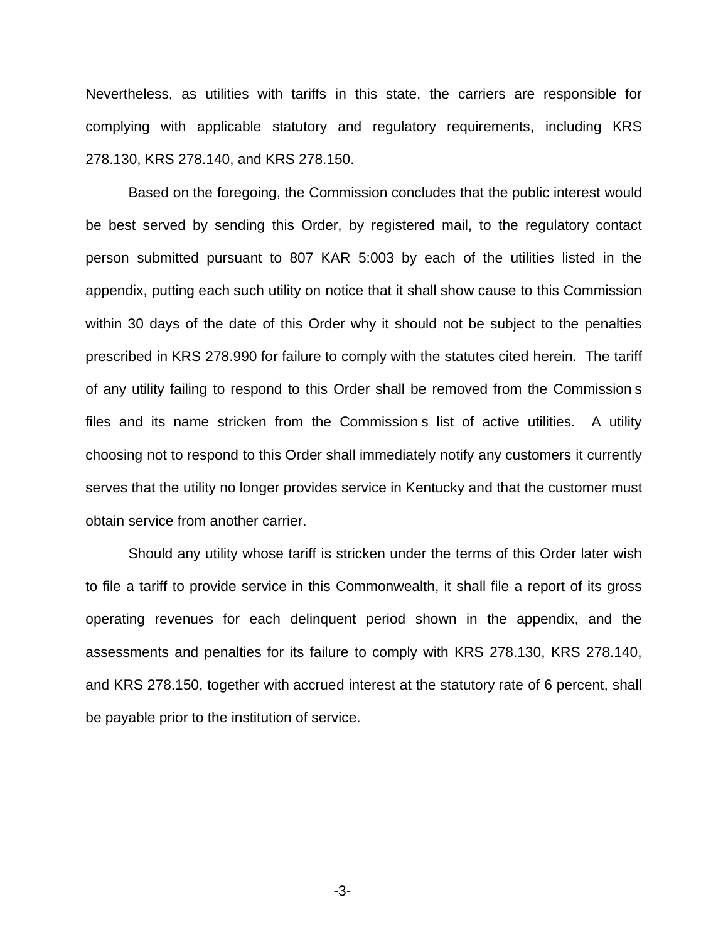Nevertheless, as utilities with tariffs in this state, the carriers are responsible for complying with applicable statutory and regulatory requirements, including KRS 278.130, KRS 278.140, and KRS 278.150.

Based on the foregoing, the Commission concludes that the public interest would be best served by sending this Order, by registered mail, to the regulatory contact person submitted pursuant to 807 KAR 5:003 by each of the utilities listed in the appendix, putting each such utility on notice that it shall show cause to this Commission within 30 days of the date of this Order why it should not be subject to the penalties prescribed in KRS 278.990 for failure to comply with the statutes cited herein. The tariff of any utility failing to respond to this Order shall be removed from the Commission s files and its name stricken from the Commission s list of active utilities. A utility choosing not to respond to this Order shall immediately notify any customers it currently serves that the utility no longer provides service in Kentucky and that the customer must obtain service from another carrier.

Should any utility whose tariff is stricken under the terms of this Order later wish to file a tariff to provide service in this Commonwealth, it shall file a report of its gross operating revenues for each delinquent period shown in the appendix, and the assessments and penalties for its failure to comply with KRS 278.130, KRS 278.140, and KRS 278.150, together with accrued interest at the statutory rate of 6 percent, shall be payable prior to the institution of service.

-3-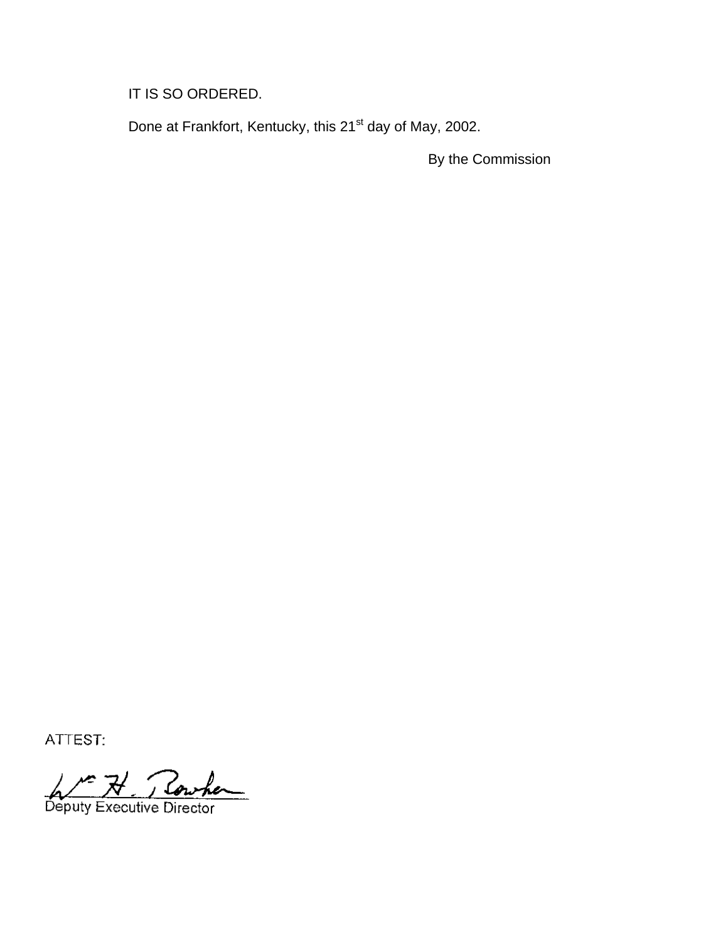IT IS SO ORDERED.

Done at Frankfort, Kentucky, this 21<sup>st</sup> day of May, 2002.

By the Commission

ATTEST:

Deputy Executive Director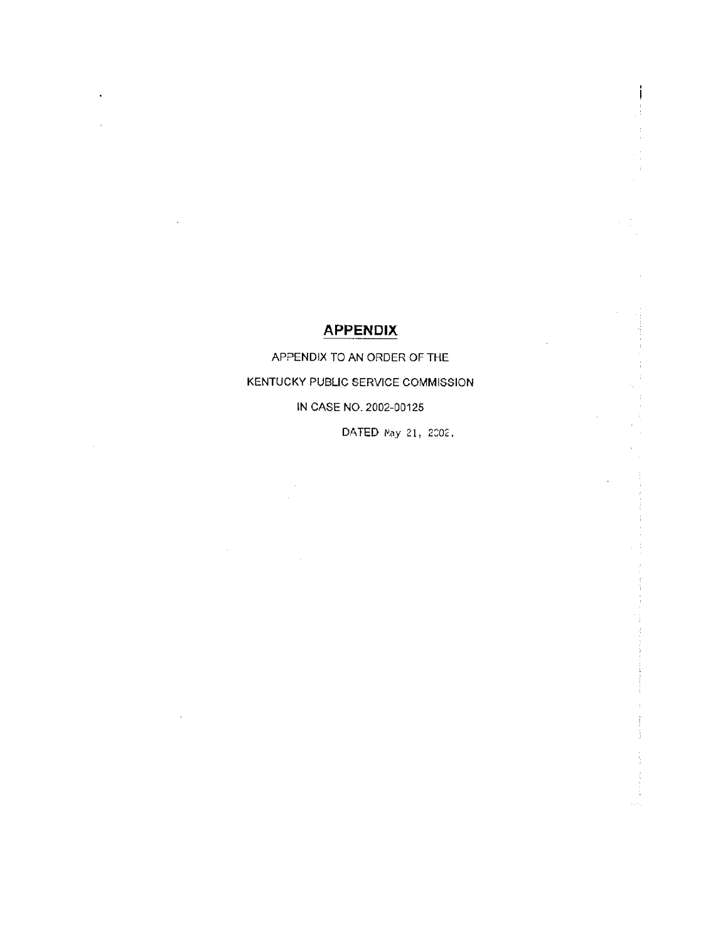## **APPENDIX**

APPENDIX TO AN ORDER OF THE KENTUCKY PUBLIC SERVICE COMMISSION IN CASE NO. 2002-00125

DATED May 21, 2002.

i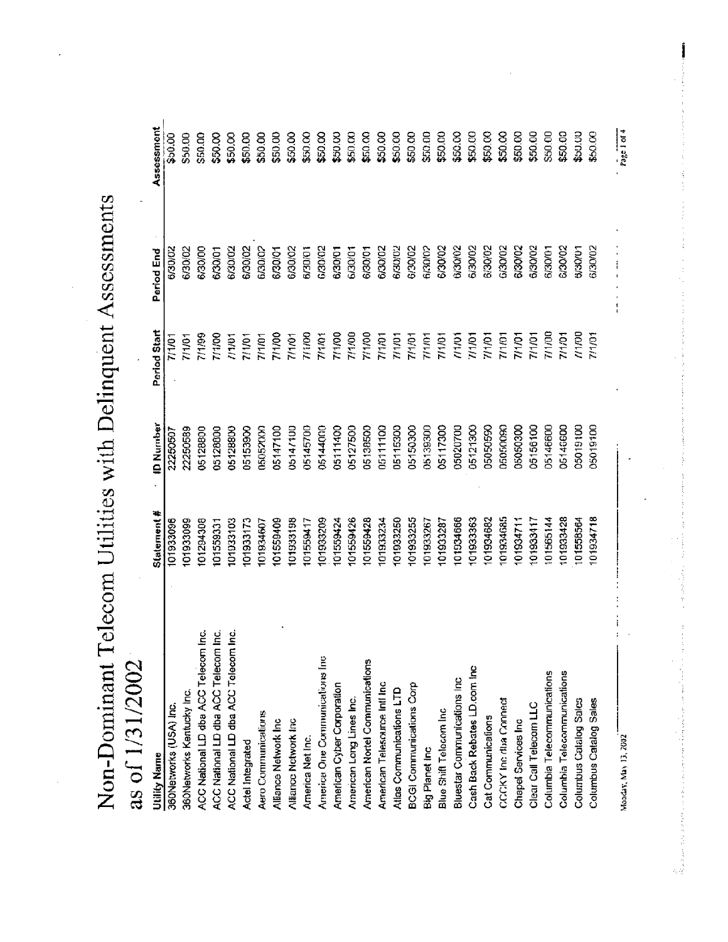Non-Dominant Telecom Utilities with Delinquent Assessments

# as of 1/31/2002

| Utility Name                         | Statement # | <b>D Number</b> | Period Start | Period End              | Assessment  |
|--------------------------------------|-------------|-----------------|--------------|-------------------------|-------------|
| 360Networks (USA) Inc.               | 101933096   | 22250507        | 7/1/01       | 6/30/02                 | \$50.00     |
| 360Networks Kentucky Inc.            | 101933099   | 22250589        | 7/1/01       | 6/30/02                 | \$50.00     |
| ACC National LD dba ACC Telecom Inc. | 101294308   | 05128800        | 7/1/99       | 6/30/00                 | \$50.00     |
| ACC National LD dba ACC Telecom Inc. | 101559331   | 05128800        | 7/1/00       | 6/30/01                 | \$50.00     |
| ACC National LD dba ACC Telecom Inc. | 101933103   | 05128800        | 11101        | 6/30/02                 | \$50.00     |
| Actel Integrated                     | 01933173    | 05153900        | 7/1/01       | 6/30/02                 | \$50.00     |
| Aero Communications                  | 101934607   | 05052000        | 7/1/01       | 6/30/02                 | \$50.00     |
| Alliance Network Inc                 | 01559409    | 05147100        | 7/1/00       | 6/30/01                 | \$50.00     |
| Alliance Network Inc                 | 101933198   | 05147100        | 7/1/01       | 6/30/02                 | \$50.00     |
| America Net Inc.                     | 101559417   | 05145700        | 7/1/00       | 6/30/01                 | \$50.00     |
| America One Communications Inc       | 101933209   | 05144000        | 7/1/01       | 6/30/02                 | \$50.00     |
| American Cyber Corporation           | 101559424   | 05111400        | 7/1/00       | 6/30/01                 | \$50.00     |
| American Long Lines Inc.             | 101559426   | 05127500        | 7/1/00       | 6/30/01                 | \$50.00     |
| American Nortel Communications       | 01559428    | 05138500        | 7/1/00       | 6/30/01                 | \$50.00     |
| American Telesource Infl Inc.        | 01933234    | 05111100        | 7/1/01       | 6/30/02                 | \$50.00     |
| Atlas Communications LTD             | 101933250   | 05115300        | 7/1/01       | 6/30/02                 | \$50.00     |
| <b>BCGI Communications Corp</b>      | 101933255   | 05150300        | 7/1/01       | 6/30/02                 | \$50.00     |
| Big Planet Inc                       | 01933267    | 05139300        | 7/1/01       | 6/30/02                 | \$50.00     |
| Blue Shift Telecom Inc               | 101933287   | 05117300        | 7/1/01       | 6/30/02                 | \$50.00     |
| Bluestar Communications Inc.         | 101934666   | 05020700        | 11701        | 6/30/02                 | \$50.00     |
| Cash Back Rebates LD.com Inc         | 101933363   | 05121300        | 7/1/01       | 6/30/02                 | \$50.00     |
| Cat Communications                   | 101934682   | 05050590        | 7/1/01       | 6/30/02                 | \$50.00     |
| CCCKY Inc dua Connect                | 101934685   | 05050090        | 7/1/01       | G/30/02                 | \$50.00     |
| Chapel Services Inc                  | 101934711   | 05050300        | 7/1/01       | 6/30/02                 | \$50.00     |
| Clear Call Telecom LLC               | 101933417   | 05156100        | 7/1/01       | 6/30/02                 | \$50.00     |
| Columbia Telecommunications          | 01565144    | 05146600        | 7/1/00       | 6/30/01                 | \$50.00     |
| Columbia Telecommunications          | 101933428   | 05146600        | 7/1/01       | 6/30/02                 | \$50.00     |
| Columbus Catalog Sales               | 101558564   | 05019100        | 771/00       | 6/30/01                 | \$50.00     |
| Columbus Catalog Sales               | 01934718    | 05019100        | 7/1/01       | 6/30/02                 | \$50.00     |
| Monday, May 13, 2002                 |             |                 |              | $\ddot{\ddot{\ }}$<br>1 | Page 1 of 4 |

:<br>استخدام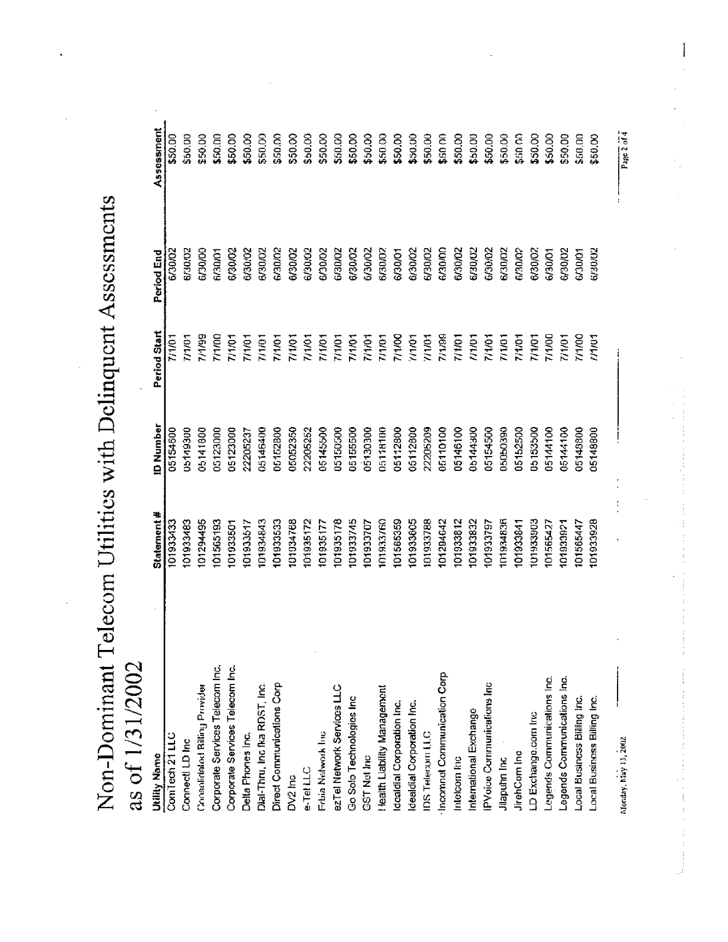Non-Dominant Telecom Utilities with Delinquent Assessments

# as of 1/31/2002

| <b>Utility Name</b>                | Statement # | <b>ID Number</b> | Period Start  | Period End | Assessment  |
|------------------------------------|-------------|------------------|---------------|------------|-------------|
| Conilech 21 LLC                    | 101933433   | 05154600         | 7/1/01        | 6/30/02    | \$50.00     |
| Connect! LD Inc                    | 101933483   | 05149300         | 77701         | 6/30/02    | \$50.00     |
| Consolidated Billing Provider      | 01294495    | 06141800         | <b>66/L/L</b> | 6/30/00    | \$50.00     |
| Corporate Services Telecom Inc.    | 101565193   | 05123000         | 7/1/00        | 6/30/01    | \$50.00     |
| Corporate Services Telecom Inc.    | 101933501   | 05123000         | 7/1/01        | 6/30/02    | \$50.00     |
| Delta Phones Inc.                  | 101933517   | 22205237         | 7/1/01        | 6/30/02    | \$50.00     |
| Dial-Thru, Inc fka RDST, Inc.      | 101934843   | 05146400         | 7/1/01        | 6/30/02    | \$50.00     |
| Direct Communications Corp         | 101933533   | 05152800         | 7/1/01        | 6/30/02    | \$50.00     |
| DV2 hc                             | 101934768   | 05052350         | 7/1/01        | 6/30/02    | \$50.00     |
| e-Tel LLC                          | 101935172   | 22205252         | 7/1/01        | 6/30/02    | \$50.00     |
| Frbia Network Inc                  | 101935177   | 05145500         | 7/1/01        | 6/30/02    | \$50.00     |
| ezTel Network Services LLC         | 01935178    | 05150500         | 7/1/01        | 6/30/02    | \$50.00     |
| Go Solo Technologies Inc           | 101933745   | 05155500         | 7/1/01        | 6/30/02    | \$50.00     |
| <b>GST Net Inc</b>                 | 101933707   | 00608130         | 7/1/01        | 6/30/02    | \$50.00     |
| <b>Health Liability Management</b> | 101933760   | 05118100         | 7/1/01        | 6/30/02    | \$50.00     |
| Idcaldial Corporation Inc.         | 101565359   | 05112800         | 7/1/00        | 6/30/01    | \$50.00     |
| Idealdial Corporation Inc.         | 101933805   | 05112800         | 7/1/01        | 6/30/02    | \$50.00     |
| IDS Telerom LLC                    | 101933788   | 22205209         | 771/01        | 6/30/02    | \$50.00     |
| Inconnet Communication Corp        | 101294642   | 05110100         | 7/1/99        | 6/30/00    | \$50.00     |
| Intelcom Inc                       | 101933812   | 05146100         | 7/1/01        | 6/30/02    | \$50.00     |
| International Exchange             | 101933832   | 05144300         | 111/11        | 6/30/02    | \$50.00     |
| <b>PVoice Communications Inc</b>   | 101933797   | 05154500         | 7/1/01        | 6/30/02    | \$50.00     |
| Jilapuhn Inc                       | 101934836   | 05050390         | 711/01        | 6/30/02    | \$50.00     |
| JirehCom Inc                       | 101933841   | 05152500         | 7/1/01        | 6/30/02    | \$50.00     |
| LD Exchange.com Inc                | 101933903   | 05153500         | 7/1/01        | 6/30/02    | \$50.00     |
| Legends Communications Inc.        | 01565427    | 05144100         | 7/1/00        | 6/30/01    | \$50.00     |
| Legends Communications Inc.        | 101933921   | 05144100         | 71/01         | 6/30/02    | \$50.00     |
| Local Business Billing Inc.        | 101565447   | 05148800         | 7/1/00        | 6/30/01    | \$50.00     |
| Local Business Billing Inc.        | 101933928   | 05148800         | 1/1/01        | 6/30/02    | \$50.00     |
| Monday, May 13, 2002               |             |                  |               |            | Page 2 of 4 |

Page 2 of 4

 $\frac{1}{2}$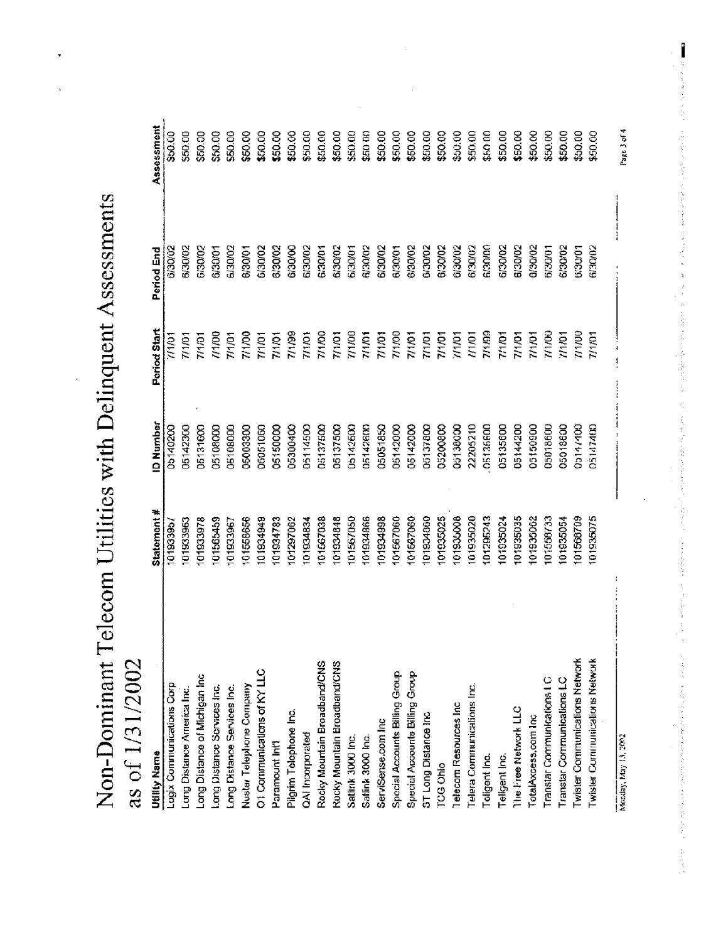Non-Dominant Telecom Utilities with Delinquent Assessments

# as of 1/31/2002

| <b>Utility Name</b>            | Statement # | <b>ID Number</b> | Period Start | Period End | Assessment |
|--------------------------------|-------------|------------------|--------------|------------|------------|
| Logix Communications Corp      | 10193395/   | 05140200         | 11/01        | 6/30/02    | \$50.00    |
| Long Distance America Inc.     | 01933963    | 05142300         | 7/1/01       | 6/30/02    | \$50.00    |
| Long Distance of Michigan Inc  | 101933978   | 05131600         | 7/1/01       | 6/30/02    | \$50.00    |
| Long Distance Services Inc.    | 01565459    | 05108000         | 00/1/        | 6/30/01    | \$50.00    |
| Long Distance Services Inc.    | 101933967   | 06108000         | 7/1/01       | 6/30/02    | \$50.00    |
| Nustar Telephone Company       | 101558656   | 05003300         | 7/1/00       | 6/30/01    | \$50.00    |
| O1 Communications of KY LLC    | 101934949   | 05051060         | 7/1/01       | 6/30/02    | \$50.00    |
| Paramount Int'l                | 101934783   | 05150000         | 7/1/01       | 6/30/02    | \$50.00    |
| Pigrim Tolophone Inc.          | 101297062   | 05300400         | 7/1/99       | 6/30/00    | \$50.00    |
| QAI Incorporated               | 01934834    | 05114500         | 7/1/01       | 6/30/02    | \$50.00    |
| Rocky Mountain Broadband/CNS   | 101567038   | 05137500         | 7/1/00       | 6/30/01    | \$50.00    |
| Rocky Mountain Broadband/CNS   | 101934848   | 05137500         | 7/1/01       | 6/30/02    | \$50.00    |
| Satlink 3000 Inc.              | 101567050   | 05142600         | 7/1/00       | 6/30/01    | \$50.00    |
| Satlink 3000 Inc.              | 101934866   | 05142600         | 7/1/01       | 6/30/02    | \$50 00    |
| ServiSense.com Inc             | 101934998   | 05051850         | 7/1/01       | 6/30/02    | \$50.00    |
| Special Accounts Billing Group | 101567060   | 05142000         | 7/1/00       | 6/30/01    | \$50.00    |
| Special Accounts Billing Group | 101567060   | 05142000         | 7/1/01       | 6/30/02    | \$50.00    |
| ST Long Distance Inc.          | 01934860    | 05137800         | 7/1/01       | 6/30/02    | \$50.00    |
| <b>TCG Ohio</b>                | 101935025   | 05200800         | 7/1/01       | 6/30/02    | \$50.00    |
| Telecom Resources Inc.         | 101935008   | 05138000         | 11/10        | 6/30/02    | \$50.00    |
| Telera Communications Inc.     | 101935020   | 22205210         | 11/01        | 6/30/02    | \$50.00    |
| Toligent Inc.                  | 101295243   | 05135600         | 7/1/99       | 6/30/00    | \$50.00    |
| Teligent Inc.                  | 101935024   | 05135600         | 7/1/01       | 6/30/02    | \$50.00    |
| The Free Network LLC           | 101935035   | 05144200         | 7/1/01       | 6/30/02    | \$50.00    |
| TotalAxcess.com Inc            | 101935062   | 05150900         | 71/01        | 3/30/02    | \$50.00    |
| Translar Communications I C    | 01558733    | 05018600         | 71/00        | 6/30/01    | \$50.00    |
| Transtar Communications LC     | 101935054   | 05018600         | 711/01       | 6/30/02    | \$50.00    |
| Twister Communications Network | 01568709    | 00114/400        | <b>00/L/</b> | 6/30/01    | \$50.00    |
| Twister Communications Network | 101935075   | 05147400         | 7/1/01       | 6/30/02    | \$50.00    |
|                                |             |                  |              |            |            |

Page 3 of 4

Ï

Monday, May 13, 2002